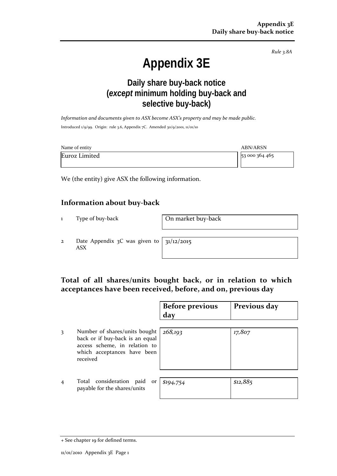*Rule 3.8A*

# **Appendix 3E**

## **Daily share buy-back notice (***except* **minimum holding buy-back and selective buy-back)**

*Information and documents given to ASX become ASX's property and may be made public.* Introduced 1/9/99. Origin: rule 3.6, Appendix 7C. Amended 30/9/2001, 11/01/10

| Name of entity | <b>ABN/ARSN</b> |
|----------------|-----------------|
| Euroz Limited  | 53 000 364 465  |

We (the entity) give ASX the following information.

## **Information about buy-back**

1 Type of buy-back **On market buy-back** 

2 Date Appendix 3C was given to ASX

31/12/2015

## **Total of all shares/units bought back, or in relation to which acceptances have been received, before, and on, previous day**

|                |                                                                                                                                              | <b>Before previous</b><br>day | Previous day |
|----------------|----------------------------------------------------------------------------------------------------------------------------------------------|-------------------------------|--------------|
| 3              | Number of shares/units bought<br>back or if buy-back is an equal<br>access scheme, in relation to<br>which acceptances have been<br>received | 268,193                       | 17,807       |
| $\overline{4}$ | Total consideration<br>paid<br><b>or</b><br>payable for the shares/units                                                                     | \$194,754                     | \$12,885     |

<sup>+</sup> See chapter 19 for defined terms.